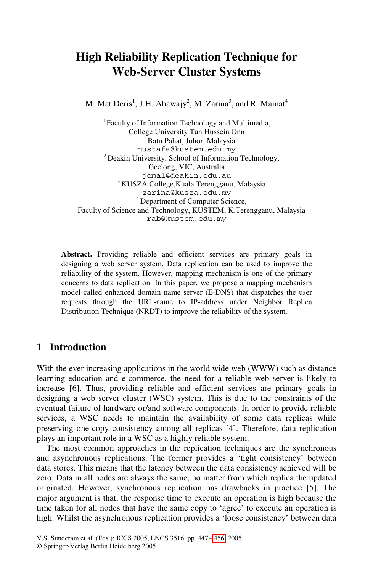# **High Reliability Replication Technique for Web-Server Cluster Systems**

M. Mat Deris<sup>1</sup>, J.H. Abawajy<sup>2</sup>, M. Zarina<sup>3</sup>, and R. Mamat<sup>4</sup>

<sup>1</sup> Faculty of Information Technology and Multimedia, College University Tun Hussein Onn Batu Pahat, Johor, Malaysia mustafa@kustem.edu.my 2 Deakin University, School of Information Technology, Geelong, VIC, Australia jemal@deakin.edu.au <sup>3</sup> KUSZA College, Kuala Terengganu, Malaysia zarina@kusza.edu.my 4 Department of Computer Science, Faculty of Science and Technology, KUSTEM, K.Terengganu, Malaysia rab@kustem.edu.my

**Abstract.** Providing reliable and efficient services are primary goals in designing a web server system. Data replication can be used to improve the reliability of the system. However, mapping mechanism is one of the primary concerns to data replication. In this paper, we propose a mapping mechanism model called enhanced domain name server (E-DNS) that dispatches the user requests through the URL-name to IP-address under Neighbor Replica Distribution Technique (NRDT) to improve the reliability of the system.

## **1 Introduction**

With the ever increasing applications in the world wide web (WWW) such as distance learning education and e-commerce, the need for a reliable web server is likely to increase [6]. Thus, providing reliable and efficient services are primary goals in designing a web server cluster (WSC) system. This is due to the constraints of the eventual failure of hardware or/and software components. In order to provide reliable services, a WSC needs to maintain the availability of some data replicas while preserving one-copy consistency among all replicas [4]. Therefore, data replication plays an important role in a WSC as a highly reliable system.

The most common approaches in the replication techniques are the synchronous and asynchronous replications. The former provides a 'tight consistency' between data stores. This means that the latency between the data consistency achieved will be zero. Data in all nodes are always the same, no matter from which replica the updated originated. However, synchronous replication has drawbacks in practice [5]. The major argument is that, the response time to execute an operation is high because the time taken for all nodes that have the same copy to 'agree' to execute an operation is high. Whilst the asynchronous replication provides a 'loose consistency' between data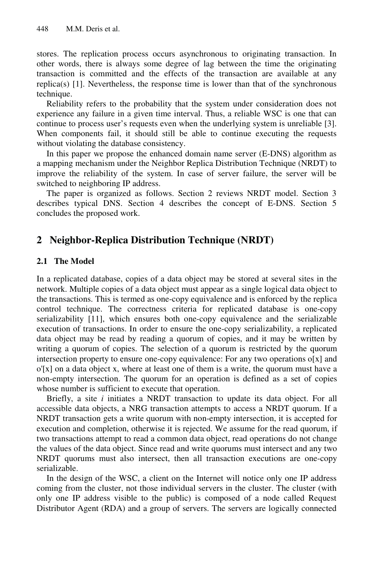stores. The replication process occurs asynchronous to originating transaction. In other words, there is always some degree of lag between the time the originating transaction is committed and the effects of the transaction are available at any replica(s)  $[1]$ . Nevertheless, the response time is lower than that of the synchronous technique.

Reliability refers to the probability that the system under consideration does not experience any failure in a given time interval. Thus, a reliable WSC is one that can continue to process user's requests even when the underlying system is unreliable [3]. When components fail, it should still be able to continue executing the requests without violating the database consistency.

In this paper we propose the enhanced domain name server (E-DNS) algorithm as a mapping mechanism under the Neighbor Replica Distribution Technique (NRDT) to improve the reliability of the system. In case of server failure, the server will be switched to neighboring IP address.

The paper is organized as follows. Section 2 reviews NRDT model. Section 3 describes typical DNS. Section 4 describes the concept of E-DNS. Section 5 concludes the proposed work.

## **2 Neighbor-Replica Distribution Technique (NRDT)**

#### **2.1 The Model**

In a replicated database, copies of a data object may be stored at several sites in the network. Multiple copies of a data object must appear as a single logical data object to the transactions. This is termed as one-copy equivalence and is enforced by the replica control technique. The correctness criteria for replicated database is one-copy serializability [11], which ensures both one-copy equivalence and the serializable execution of transactions. In order to ensure the one-copy serializability, a replicated data object may be read by reading a quorum of copies, and it may be written by writing a quorum of copies. The selection of a quorum is restricted by the quorum intersection property to ensure one-copy equivalence: For any two operations  $o[x]$  and  $o'[x]$  on a data object x, where at least one of them is a write, the quorum must have a non-empty intersection. The quorum for an operation is defined as a set of copies whose number is sufficient to execute that operation.

Briefly, a site *i* initiates a NRDT transaction to update its data object. For all accessible data objects, a NRG transaction attempts to access a NRDT quorum. If a NRDT transaction gets a write quorum with non-empty intersection, it is accepted for execution and completion, otherwise it is rejected. We assume for the read quorum, if two transactions attempt to read a common data object, read operations do not change the values of the data object. Since read and write quorums must intersect and any two NRDT quorums must also intersect, then all transaction executions are one-copy serializable.

In the design of the WSC, a client on the Internet will notice only one IP address coming from the cluster, not those individual servers in the cluster. The cluster (with only one IP address visible to the public) is composed of a node called Request Distributor Agent (RDA) and a group of servers. The servers are logically connected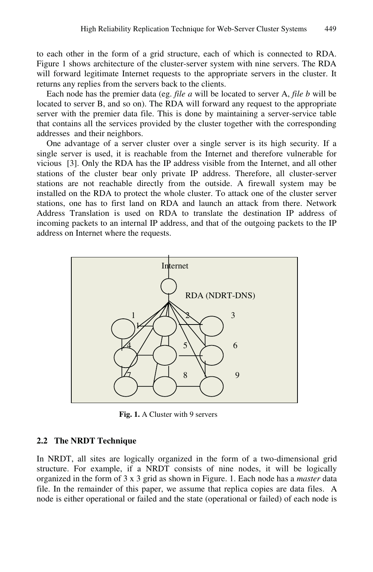to each other in the form of a grid structure, each of which is connected to RDA. Figure 1 shows architecture of the cluster-server system with nine servers. The RDA will forward legitimate Internet requests to the appropriate servers in the cluster. It returns any replies from the servers back to the clients.

Each node has the premier data (eg. *file a* will be located to server A, *file b* will be located to server B, and so on). The RDA will forward any request to the appropriate server with the premier data file. This is done by maintaining a server-service table that contains all the services provided by the cluster together with the corresponding addresses and their neighbors.

One advantage of a server cluster over a single server is its high security. If a single server is used, it is reachable from the Internet and therefore vulnerable for vicious [3]. Only the RDA has the IP address visible from the Internet, and all other stations of the cluster bear only private IP address. Therefore, all cluster-server stations are not reachable directly from the outside. A firewall system may be installed on the RDA to protect the whole cluster. To attack one of the cluster server stations, one has to first land on RDA and launch an attack from there. Network Address Translation is used on RDA to translate the destination IP address of incoming packets to an internal IP address, and that of the outgoing packets to the IP address on Internet where the requests.



Fig. 1. A Cluster with 9 servers

#### **2.2 The NRDT Technique**

In NRDT, all sites are logically organized in the form of a two-dimensional grid structure. For example, if a NRDT consists of nine nodes, it will be logically organized in the form of 3 x 3 grid as shown in Figure. 1. Each node has a *master* data file. In the remainder of this paper, we assume that replica copies are data files. A node is either operational or failed and the state (operational or failed) of each node is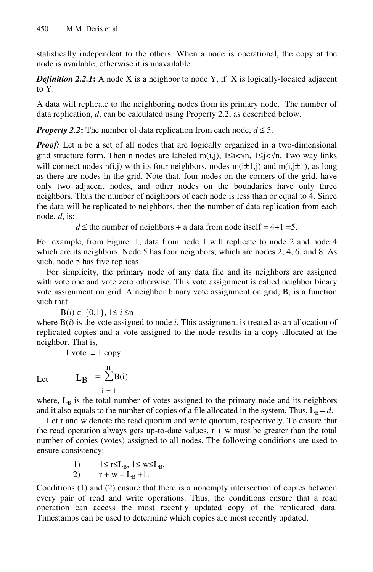statistically independent to the others. When a node is operational, the copy at the node is available; otherwise it is unavailable.

*Definition 2.2.1*: A node X is a neighbor to node Y, if X is logically-located adjacent to Y.

A data will replicate to the neighboring nodes from its primary node. The number of data replication, *d*, can be calculated using Property 2.2, as described below.

*Property 2.2***:** The number of data replication from each node,  $d \le 5$ .

*Proof:* Let n be a set of all nodes that are logically organized in a two-dimensional grid structure form. Then n nodes are labeled m(i,j),  $1 \le i \lt \sqrt{n}$ ,  $1 \le j \lt \sqrt{n}$ . Two way links will connect nodes  $n(i,j)$  with its four neighbors, nodes  $m(i\pm 1,j)$  and  $m(i,j\pm 1)$ , as long as there are nodes in the grid. Note that, four nodes on the corners of the grid, have only two adjacent nodes, and other nodes on the boundaries have only three neighbors. Thus the number of neighbors of each node is less than or equal to 4. Since the data will be replicated to neighbors, then the number of data replication from each node, *d*, is:

 $d \leq$  the number of neighbors + a data from node itself = 4+1 = 5.

For example, from Figure. 1, data from node 1 will replicate to node 2 and node 4 which are its neighbors. Node 5 has four neighbors, which are nodes 2, 4, 6, and 8. As such, node 5 has five replicas.

For simplicity, the primary node of any data file and its neighbors are assigned with vote one and vote zero otherwise. This vote assignment is called neighbor binary vote assignment on grid. A neighbor binary vote assignment on grid, B, is a function such that

B(*i*) ∈ {0,1}, 1≤ *i* ≤n

where  $B(i)$  is the vote assigned to node *i*. This assignment is treated as an allocation of replicated copies and a vote assigned to the node results in a copy allocated at the neighbor. That is,

1 vote  $\equiv$  1 copy.

Let 
$$
L_B = \sum_{i=1}^{n} B(i)
$$

n

where,  $L<sub>B</sub>$  is the total number of votes assigned to the primary node and its neighbors and it also equals to the number of copies of a file allocated in the system. Thus,  $L_B = d$ .

Let r and w denote the read quorum and write quorum, respectively. To ensure that the read operation always gets up-to-date values,  $r + w$  must be greater than the total number of copies (votes) assigned to all nodes. The following conditions are used to ensure consistency:

1)  $1 \leq r \leq L_B$ ,  $1 \leq w \leq L_B$ 

$$
2) \qquad r + w = L_B + 1.
$$

Conditions (1) and (2) ensure that there is a nonempty intersection of copies between every pair of read and write operations. Thus, the conditions ensure that a read operation can access the most recently updated copy of the replicated data. Timestamps can be used to determine which copies are most recently updated.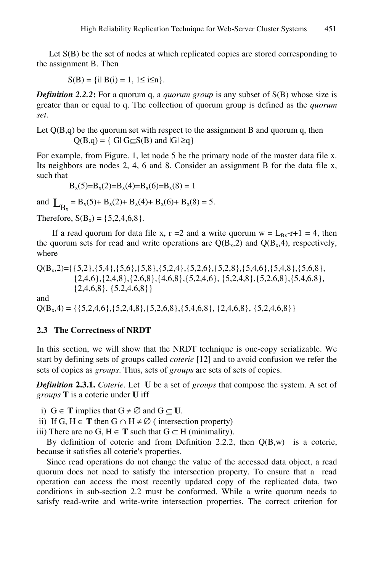Let  $S(B)$  be the set of nodes at which replicated copies are stored corresponding to the assignment B. Then

$$
S(B) = \{i | B(i) = 1, 1 \le i \le n\}.
$$

*Definition 2.2.2***:** For a quorum q, a *quorum group* is any subset of S(B) whose size is greater than or equal to q. The collection of quorum group is defined as the *quorum set*.

Let  $Q(B,q)$  be the quorum set with respect to the assignment B and quorum q, then  $Q(B,q) = \{ G | G \subseteq S(B) \text{ and } |G| \geq q \}$ 

For example, from Figure. 1, let node 5 be the primary node of the master data file x. Its neighbors are nodes 2, 4, 6 and 8. Consider an assignment B for the data file x, such that

$$
B_x(5)=B_x(2)=B_x(4)=B_x(6)=B_x(8)=1
$$

and  $L_{B_x} = B_x(5) + B_x(2) + B_x(4) + B_x(6) + B_x(8) = 5.$ 

Therefore,  $S(B_x) = \{5, 2, 4, 6, 8\}.$ 

If a read quorum for data file x, r = 2 and a write quorum  $w = L_{Bx} - r + 1 = 4$ , then the quorum sets for read and write operations are  $O(B_x, 2)$  and  $O(B_x, 4)$ , respectively, where

 $Q(B_x, 2) = \{\{5, 2\}, \{5, 4\}, \{5, 6\}, \{5, 8\}, \{5, 2, 4\}, \{5, 2, 6\}, \{5, 2, 8\}, \{5, 4, 6\}, \{5, 4, 8\}, \{5, 6, 8\},\$  $\{2,4,6\}, \{2,4,8\}, \{2,6,8\}, \{4,6,8\}, \{5,2,4,6\}, \{5,2,4,8\}, \{5,2,6,8\}, \{5,4,6,8\},$  $\{2,4,6,8\}, \{5,2,4,6,8\}\}$ and

 $Q(B_x, 4) = \{\{5, 2, 4, 6\}, \{5, 2, 4, 8\}, \{5, 2, 6, 8\}, \{5, 4, 6, 8\}, \{2, 4, 6, 8\}, \{5, 2, 4, 6, 8\}\}\$ 

#### **2.3 The Correctness of NRDT**

In this section, we will show that the NRDT technique is one-copy serializable. We start by defining sets of groups called *coterie* [12] and to avoid confusion we refer the sets of copies as *groups*. Thus, sets of *groups* are sets of sets of copies.

*Definition* **2.3.1.** *Coterie*. Let **U** be a set of *groups* that compose the system. A set of *groups* **T** is a coterie under **U** iff

i)  $G \in T$  implies that  $G \neq \emptyset$  and  $G \subseteq U$ .

ii) If G, H  $\in$  **T** then G  $\cap$  H  $\neq$  Ø ( intersection property)

iii) There are no G,  $H \in T$  such that  $G ⊂ H$  (minimality).

By definition of coterie and from Definition 2.2.2, then  $Q(B,w)$  is a coterie, because it satisfies all coterie's properties.

Since read operations do not change the value of the accessed data object, a read quorum does not need to satisfy the intersection property. To ensure that a read operation can access the most recently updated copy of the replicated data, two conditions in sub-section 2.2 must be conformed. While a write quorum needs to satisfy read-write and write-write intersection properties. The correct criterion for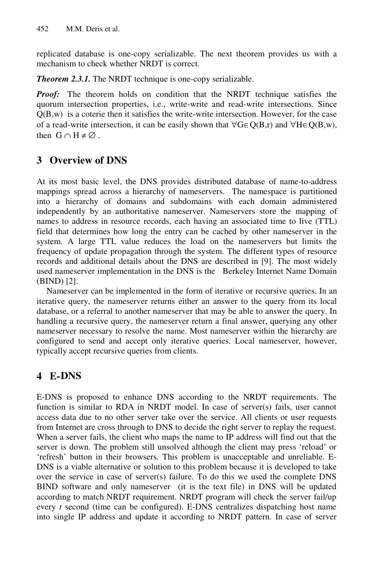replicated database is one-copy serializable. The next theorem provides us with a mechanism to check whether NRDT is correct.

*Theorem 2.3.1.* The NRDT technique is one-copy serializable.

*Proof:* The theorem holds on condition that the NRDT technique satisfies the quorum intersection properties, i.e., write-write and read-write intersections. Since  $Q(B,w)$  is a coterie then it satisfies the write-write intersection. However, for the case of a read-write intersection, it can be easily shown that  $\forall G \in Q(B,r)$  and  $\forall H \in Q(B,w)$ , then  $G \cap H \neq \emptyset$ .

## **3 Overview of DNS**

At its most basic level, the DNS provides distributed database of name-to-address mappings spread across a hierarchy of nameservers. The namespace is partitioned into a hierarchy of domains and subdomains with each domain administered independently by an authoritative nameserver. Nameservers store the mapping of names to address in resource records, each having an associated time to live (TTL) field that determines how long the entry can be cached by other nameserver in the system. A large TTL value reduces the load on the nameservers but limits the frequency of update propagation through the system. The different types of resource records and additional details about the DNS are described in [9]. The most widely used nameserver implementation in the DNS is the Berkeley Internet Name Domain (BIND) [2].

Nameserver can be implemented in the form of iterative or recursive queries. In an iterative query, the nameserver returns either an answer to the query from its local database, or a referral to another nameserver that may be able to answer the query. In handling a recursive query, the nameserver return a final answer, querying any other nameserver necessary to resolve the name. Most nameserver within the hierarchy are configured to send and accept only iterative queries. Local nameserver, however, typically accept recursive queries from clients.

# **4 E- DNS**

E-DNS is proposed to enhance DNS according to the NRDT requirements. The function is similar to RDA in NRDT model. In case of server(s) fails, user cannot access data due to no other server take over the service. All clients or user requests from Internet are cross through to DNS to decide the right server to replay the request. When a server fails, the client who maps the name to IP address will find out that the server is down. The problem still unsolved although the client may press 'reload' or 'refresh' button in their browsers. This problem is unacceptable and unreliable. E-DNS is a viable alternative or solution to this problem because it is developed to take over the service in case of server(s) failure. To do this we used the complete DNS BIND software and only nameserver (it is the text file) in DNS will be updated according to match NRDT requirement. NRDT program will check the server fail/up every *t* second (time can be configured). E-DNS centralizes dispatching host name into single IP address and update it according to NRDT pattern. In case of server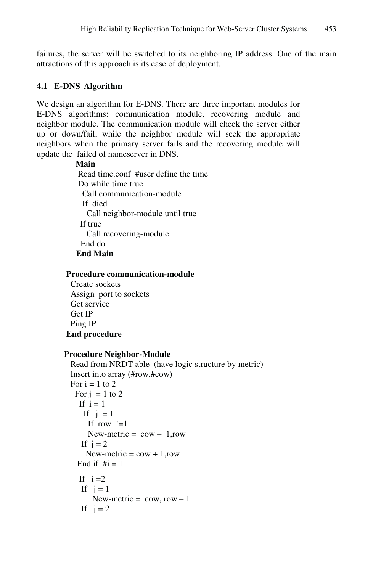failures, the server will be switched to its neighboring IP address. One of the main attractions of this approach is its ease of deployment.

#### **4.1 E- Algorithm DNS**

We design an algorithm for E-DNS. There are three important modules for E-DNS algorithms: communication module, recovering module and neighbor module. The communication module will check the server either up or down/fail, while the neighbor module will seek the appropriate neighbors when the primary server fails and the recovering module will update the failed of nameserver in DNS.

#### **Main**

 Read time.conf #user define the time Do while time true Call communication-module If died Call neighbor-module until true If true Call recovering-module End do **End Main**

#### **Procedure communication-module**

 Create sockets Assign port to sockets Get service Get IP Ping IP **End procedure** 

#### **Procedure Neighbor-Module**

```
 Read from NRDT able (have logic structure by metric) 
 Insert into array (#row,#cow) 
For i = 1 to 2
 For i = 1 to 2
  If i = 1If i = 1If row !=1New-metric = \text{cow} - 1, \text{row}If i = 2New-metric = \text{cow} + 1, row
 End if \#i = 1If i = 2If i = 1New-metric = \text{cow, row} - 1If i = 2
```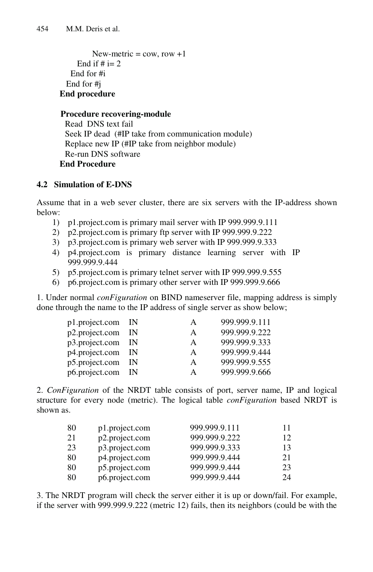```
New-metric = \text{cow}, \text{row} +1End if \# i= 2.
    End for #i 
   End for #j 
 End procedure
```
#### **Procedure recovering-module**

 Read DNS text fail Seek IP dead (#IP take from communication module) Replace new IP (#IP take from neighbor module) Re-run DNS software  **End Procedure** 

### **4.2 Simulation of E-DNS**

Assume that in a web sever cluster, there are six servers with the IP-address shown below:

- 1) p1.project.com is primary mail server with IP 999.999.9.111
- 2) p2.project.com is primary ftp server with IP 999.999.9.222
- 3) p3.project.com is primary web server with IP 999.999.9.333
- 4) p4.project.com is primary distance learning server with IP 999.999.9.444
- 5) p5.project.com is primary telnet server with IP 999.999.9.555
- 6) p6.project.com is primary other server with IP 999.999.9.666

1. Under normal *conFiguration* on BIND nameserver file, mapping address is simply done through the name to the IP address of single server as show below;

| p1.project.com | -IN |   | 999.999.9.111 |
|----------------|-----|---|---------------|
| p2.project.com | IN  | А | 999.999.9.222 |
| p3.project.com | IN  | A | 999.999.9.333 |
| p4.project.com | IN  | А | 999.999.9.444 |
| p5.project.com | IN  | А | 999.999.9.555 |
| p6.project.com | IN  |   | 999.999.9.666 |

2. *ConFiguration* of the NRDT table consists of port, server name, IP and logical structure for every node (metric). The logical table *conFiguration* based NRDT is shown as.

| 80 | p1.project.com | 999.999.9.111 |    |
|----|----------------|---------------|----|
| 21 | p2.project.com | 999.999.9.222 | 12 |
| 23 | p3.project.com | 999.999.9.333 | 13 |
| 80 | p4.project.com | 999.999.9.444 | 21 |
| 80 | p5.project.com | 999.999.9.444 | 23 |
| 80 | p6.project.com | 999.999.9.444 | 24 |

3. The NRDT program will check the server either it is up or down/fail. For example, if the server with 999.999.9.222 (metric 12) fails, then its neighbors (could be with the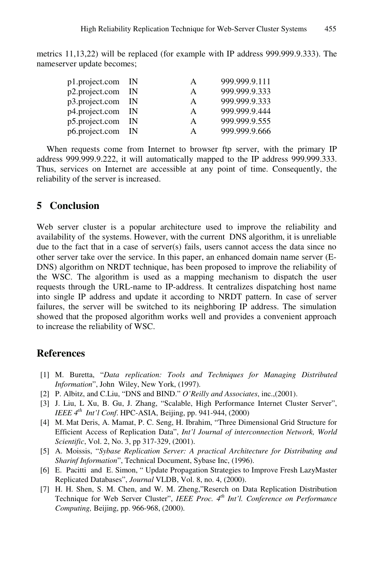metrics 11,13,22) will be replaced (for example with IP address 999.999.9.333). The nameserver update becomes;

| p1.project.com IN |      | А | 999.999.9.111 |
|-------------------|------|---|---------------|
| p2.project.com    | IN   | А | 999.999.9.333 |
| p3.project.com    | -IN  | А | 999.999.9.333 |
| p4.project.com    | -IN  | А | 999.999.9.444 |
| p5.project.com    | - IN | А | 999.999.9.555 |
| p6.project.com    | IN   | А | 999.999.9.666 |

When requests come from Internet to browser ftp server, with the primary IP address 999.999.9.222, it will automatically mapped to the IP address 999.999.333. Thus, services on Internet are accessible at any point of time. Consequently, the reliability of the server is increased.

## **5 Conclusion**

Web server cluster is a popular architecture used to improve the reliability and availability of the systems. However, with the current DNS algorithm, it is unreliable due to the fact that in a case of server(s) fails, users cannot access the data since no other server take over the service. In this paper, an enhanced domain name server (E-DNS) algorithm on NRDT technique, has been proposed to improve the reliability of the WSC. The algorithm is used as a mapping mechanism to dispatch the user requests through the URL-name to IP-address. It centralizes dispatching host name into single IP address and update it according to NRDT pattern. In case of server failures, the server will be switched to its neighboring IP address. The simulation showed that the proposed algorithm works well and provides a convenient approach to increase the reliability of WSC.

## **References**

- [1] M. Buretta, "*Data replication: Tools and Techniques for Managing Distributed Information*", John Wiley, New York, (1997).
- [2] P. Albitz, and C.Liu, "DNS and BIND." *O'Reilly and Associates*, inc.,(2001).
- [3] J. Liu, L Xu, B. Gu, J. Zhang, "Scalable, High Performance Internet Cluster Server", *IEEE 4th Int'l Conf*. HPC-ASIA, Beijing, pp. 941-944, (2000)
- [4] M. Mat Deris, A. Mamat, P. C. Seng, H. Ibrahim, "Three Dimensional Grid Structure for Efficient Access of Replication Data", *Int'l Journal of interconnection Network, World Scientific*, Vol. 2, No. 3, pp 317-329, (2001).
- [5] A. Moissis, "*Sybase Replication Server: A practical Architecture for Distributing and Sharinf Information*", Technical Document, Sybase Inc, (1996).
- [6] E. Pacitti and E. Simon, " Update Propagation Strategies to Improve Fresh LazyMaster Replicated Databases", *Journal* VLDB, Vol. 8, no. 4, (2000).
- [7] H. H. Shen, S. M. Chen, and W. M. Zheng,"Reserch on Data Replication Distribution Technique for Web Server Cluster", *IEEE Proc. 4th Int'l. Conference on Performance Computing,* Beijing, pp. 966-968, (2000).